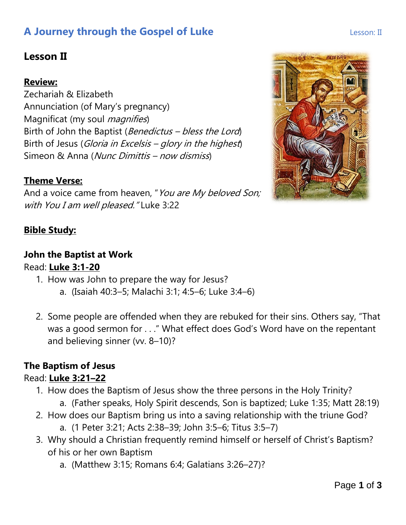# **A Journey through the Gospel of Luke Lesson: II** Lesson: II

## **Lesson II**

#### **Review:**

Zechariah & Elizabeth Annunciation (of Mary's pregnancy) Magnificat (my soul *magnifies*) Birth of John the Baptist (*Benedictus – bless the Lord*) Birth of Jesus (Gloria in Excelsis – glory in the highest) Simeon & Anna (Nunc Dimittis – now dismiss)

#### **Theme Verse:**

And a voice came from heaven, "You are My beloved Son; with You I am well pleased." Luke 3:22

#### **Bible Study:**

## **John the Baptist at Work**

#### Read: **Luke 3:1-20**

- 1. How was John to prepare the way for Jesus?
	- a. (Isaiah 40:3–5; Malachi 3:1; 4:5–6; Luke 3:4–6)
- 2. Some people are offended when they are rebuked for their sins. Others say, "That was a good sermon for . . ." What effect does God's Word have on the repentant and believing sinner (vv. 8–10)?

#### **The Baptism of Jesus**

#### Read: **Luke 3:21–22**

- 1. How does the Baptism of Jesus show the three persons in the Holy Trinity?
	- a. (Father speaks, Holy Spirit descends, Son is baptized; Luke 1:35; Matt 28:19)
- 2. How does our Baptism bring us into a saving relationship with the triune God? a. (1 Peter 3:21; Acts 2:38–39; John 3:5–6; Titus 3:5–7)
- 3. Why should a Christian frequently remind himself or herself of Christ's Baptism? of his or her own Baptism
	- a. (Matthew 3:15; Romans 6:4; Galatians 3:26–27)?

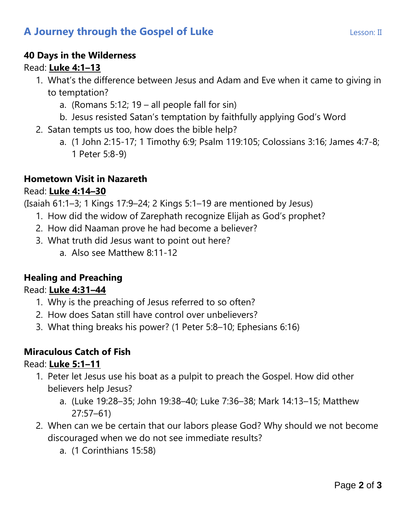# **A Journey through the Gospel of Luke Lesson: II** Lesson: II

#### **40 Days in the Wilderness**

#### Read: **Luke 4:1–13**

- 1. What's the difference between Jesus and Adam and Eve when it came to giving in to temptation?
	- a. (Romans 5:12;  $19 -$ all people fall for sin)
	- b. Jesus resisted Satan's temptation by faithfully applying God's Word
- 2. Satan tempts us too, how does the bible help?
	- a. (1 John 2:15-17; 1 Timothy 6:9; Psalm 119:105; Colossians 3:16; James 4:7-8; 1 Peter 5:8-9)

#### **Hometown Visit in Nazareth**

#### Read: **Luke 4:14–30**

(Isaiah 61:1–3; 1 Kings 17:9–24; 2 Kings 5:1–19 are mentioned by Jesus)

- 1. How did the widow of Zarephath recognize Elijah as God's prophet?
- 2. How did Naaman prove he had become a believer?
- 3. What truth did Jesus want to point out here?
	- a. Also see Matthew 8:11-12

### **Healing and Preaching**

#### Read: **Luke 4:31–44**

- 1. Why is the preaching of Jesus referred to so often?
- 2. How does Satan still have control over unbelievers?
- 3. What thing breaks his power? (1 Peter 5:8–10; Ephesians 6:16)

#### **Miraculous Catch of Fish**

#### Read: **Luke 5:1–11**

- 1. Peter let Jesus use his boat as a pulpit to preach the Gospel. How did other believers help Jesus?
	- a. (Luke 19:28–35; John 19:38–40; Luke 7:36–38; Mark 14:13–15; Matthew 27:57–61)
- 2. When can we be certain that our labors please God? Why should we not become discouraged when we do not see immediate results?
	- a. (1 Corinthians 15:58)